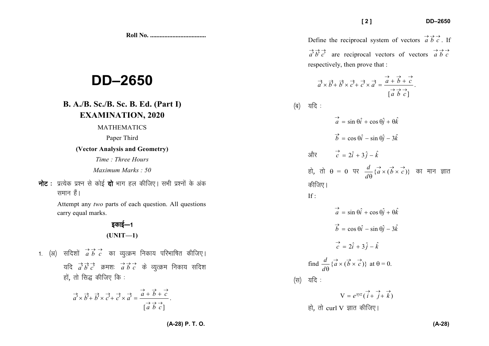**Roll No. ...................................** 

## **DD–2650**

## **B. A./B. Sc./B. Sc. B. Ed. (Part I)EXAMINATION, 2020**

## MATHEMATICS

Paper Third

## **(Vector Analysis and Geometry)**

*Time : Three Hours* 

*Maximum Marks : 50* 

**नोट**: प्रत्येक प्रश्न से कोई **दो** भाग हल कीजिए। सभी प्रश्नों के अंक समान हैं।

> Attempt any *two* parts of each question. All questions carry equal marks.

> > *bdkbZ*&*<sup>1</sup>***(UNIT—1)**

*1. (अ)* सदिशों *aे bें c*े का व्युत्क्रम निकाय परिभाषित कीजिए।  $\frac{1}{a}$  $\vec{b}$  $\vec{c}$  $\vec{c}$  $\vec{b}$  $\vec{b}$  $\vec{c}$  $\vec{d}$  $\vec{b}$  $\vec{c}$  $\vec{c}$  $\vec{d}$  $\vec{b}$  $\vec{c}$  $\vec{d}$  $\vec{c}$  $\vec{d}$  $\vec{c}$  $\vec{d}$  $\vec{c}$  $\vec{d}$  $\vec{c}$  $\vec{d}$  $\vec{d}$  $\vec{c}$  $\vec{d}$  $\vec{c}$ हों, तो सिद्ध कीजिए कि:

$$
\overrightarrow{a'} \times \overrightarrow{b'} + \overrightarrow{b'} \times \overrightarrow{c'} + \overrightarrow{c'} \times \overrightarrow{a'} = \frac{\overrightarrow{a} + \overrightarrow{b} + \overrightarrow{c}}{[\overrightarrow{a} \ \overrightarrow{b} \ \overrightarrow{c}]}.
$$

Define the reciprocal system of vectors  $\overrightarrow{a}$   $\overrightarrow{b}$   $\overrightarrow{c}$ . If  $\overrightarrow{a}$   $\overrightarrow{b}$   $\overrightarrow{c}$  are reciprocal vectors of vectors  $\overrightarrow{a}$   $\overrightarrow{b}$   $\overrightarrow{c}$ respectively, then prove that :

$$
\overrightarrow{a} \times \overrightarrow{b'} + \overrightarrow{b'} \times \overrightarrow{c'} + \overrightarrow{c'} \times \overrightarrow{a'} = \frac{\overrightarrow{a} + \overrightarrow{b} + \overrightarrow{c}}{[\overrightarrow{a} \ \overrightarrow{b} \ \overrightarrow{c}]}.
$$

*¼c½ ;fn %* 

(a)

\n
$$
\frac{d}{d\theta} = \sin \theta \hat{i} + \cos \theta \hat{j} + \theta \hat{k}
$$
\n
$$
\vec{b} = \cos \theta \hat{i} - \sin \theta \hat{j} - 3\hat{k}
$$
\n
$$
\frac{d}{d\theta} = \cos \theta \hat{i} - \sin \theta \hat{j} - 3\hat{k}
$$
\n
$$
\frac{d}{d\theta} = \cos \theta \hat{i} - \sin \theta \hat{k}
$$
\n
$$
\frac{d}{d\theta} \left\{ \vec{a} \times (\vec{b} \times \vec{c}) \right\} \quad \text{and} \quad \frac{d}{d\theta} \left\{ \vec{a} \times (\vec{b} \times \vec{c}) \right\} \quad \text{and} \quad \frac{d}{d\theta} \left\{ \vec{a} \times (\vec{b} \times \vec{c}) \right\} \quad \text{and} \quad \frac{d}{d\theta} \left\{ \vec{a} \times (\vec{b} \times \vec{c}) \right\} \quad \text{and} \quad \frac{d}{d\theta} \left\{ \vec{a} \times (\vec{b} \times \vec{c}) \right\} \quad \text{at} \quad \theta = 0.
$$
\n(4)

\n
$$
\frac{d}{d\theta} \left\{ \vec{a} \times (\vec{b} \times \vec{c}) \right\} \quad \text{at} \quad \theta = 0.
$$

$$
V = e^{xyz} (i + j + k)
$$
हो, तो curl V ज्ञात कीजिए।

**(A-28) P. T. O.**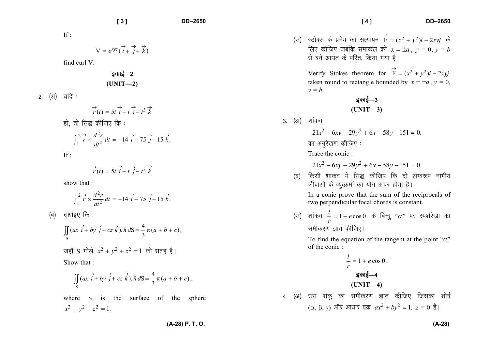If :

$$
V = e^{xyz} (\overrightarrow{i} + \overrightarrow{j} + \overrightarrow{k})
$$

find curl V.

*bdkbZ*&*<sup>2</sup>***(UNIT—2)** 

2. (अ) यदि:

$$
\overrightarrow{r}(t) = 5t \overrightarrow{i} + t \overrightarrow{j} - t^3 \overrightarrow{k}
$$
  
हो, तो सिद्ध कीजिए कि :

$$
\int_1^2 \vec{r} \times \frac{d^2r}{dt^2} dt = -14 \vec{i} + 75 \vec{j} - 15 \vec{k}.
$$

If :

$$
\overrightarrow{r}(t) = 5t \overrightarrow{i} + t \overrightarrow{j} - t^3 \overrightarrow{k}
$$

show that :

$$
\int_{1}^{2} \overrightarrow{r} \times \frac{d^2r}{dt^2} dt = -14 \overrightarrow{i} + 75 \overrightarrow{j} - 15 \overrightarrow{k}.
$$

*¼c½ n'kkZb, fd %* 

$$
\iint_{S} (ax \vec{i} + by \vec{j} + cz \vec{k}). \hat{n} dS = \frac{4}{3} \pi (a + b + c),
$$
  

$$
\vec{v} = \vec{v} \cdot \vec{v} \cdot \vec{k}
$$
  
and 
$$
x^2 + y^2 + z^2 = 1 \quad \text{and} \quad \vec{v} = \vec{v} \cdot \vec{k}
$$
  
Show that :

$$
\iint_{S} (ax \overrightarrow{i} + by \overrightarrow{j} + cz \overrightarrow{k}) \cdot \hat{n} dS = \frac{4}{3} \pi (a + b + c),
$$

where S is the surface of the sphere  $x^2 + y^2 + z^2 = 1$ .

(स) स्टोक्स के प्रमेय का सत्यापन 
$$
\overrightarrow{F} = (x^2 + y^2)i - 2xyj
$$
 के लिए कीजिए जबकि समाकल को  $x = \pm a$ ,  $y = 0$ ,  $y = b$ 

\nसे बने आयत के परित: किया गया है |

\nVerify Stokes theorem for  $\overrightarrow{F} = (x^2 + y^2)i - 2xyj$ 

\ntaken round to rectangle bounded by  $x = \pm a$ ,  $y = 0$ ,  $y = b$ .

\n $\overrightarrow{gghg} = 3$ 

\n(UNIT—3)

3. (अ) शांकव

 $21x^2 - 6xy + 29y^2 + 6x - 58y - 151 = 0.$ 

*का अनुरेखण कीजिए :* 

Trace the conic :

$$
21x^2 - 6xy + 29y^2 + 6x - 58y - 151 = 0.
$$

*¼c½ fdlh 'kkado esa fl) dhft, fd nks yEc:i ukHkh; thokvksa ds O;qRØeksa dk ;ksx vpj gksrk gSA* 

In a conic prove that the sum of the reciprocals oftwo perpendicular focal chords is constant.

 $\left(\begin{matrix} \overline{\mathcal{A}} \end{matrix} \right)$  शांकव  $\begin{matrix} \overline{l} \ r \end{matrix} = 1 + e \cos \theta$  के बिन्दु '' समीकरण ज्ञात कीजिए*।* "α" पर स्पर्शरेखा का

To find the equation of the tangent at the point " $\alpha$ " of the conic :

$$
\frac{l}{r} = 1 + e \cos \theta.
$$
\n**ξकιξ**—4\n  
\n**(UNIT**—4)\n  
\n4. (3) उस शंकु का समीकरण ज्ञात कीजिए जिसका शीर्ष  
\n(α, β, γ) और आधार वक्र  $ax^2 + by^2 = 1$ ,  $z = 0$   $\overset{>}{\epsilon}$ 

 $F = (x^2 + y^2)l -$